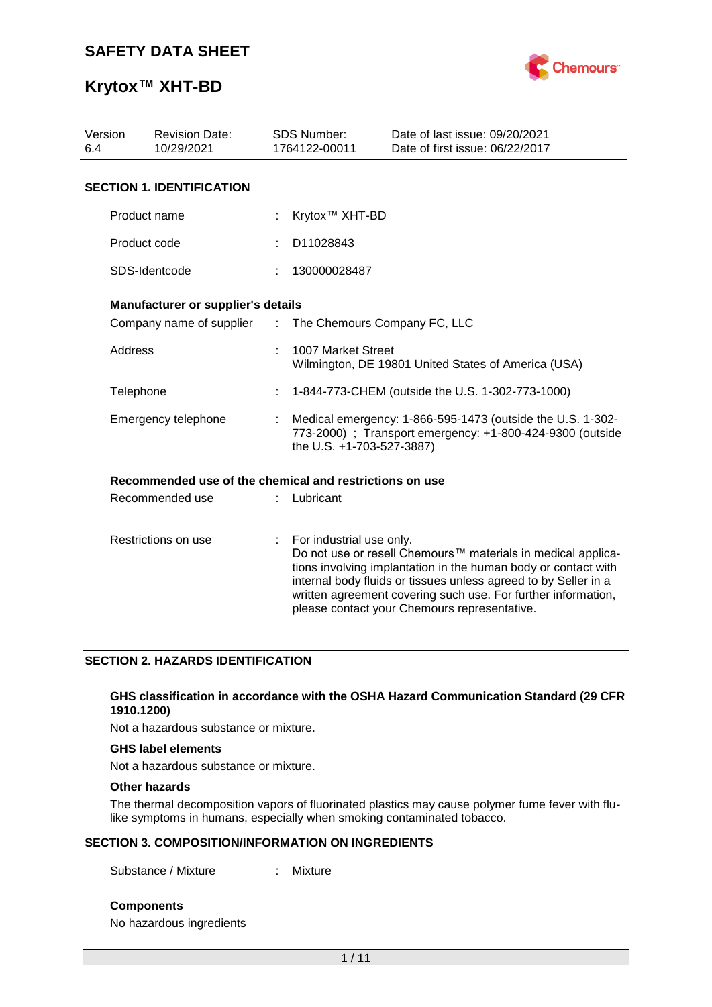

## **Krytox™ XHT-BD**

| Version<br><b>Revision Date:</b><br>10/29/2021<br>6.4 |                                                         |    | <b>SDS Number:</b><br>1764122-00011                                                                                                                  | Date of last issue: 09/20/2021<br>Date of first issue: 06/22/2017                                                                                                                                                                                                                                                  |  |  |
|-------------------------------------------------------|---------------------------------------------------------|----|------------------------------------------------------------------------------------------------------------------------------------------------------|--------------------------------------------------------------------------------------------------------------------------------------------------------------------------------------------------------------------------------------------------------------------------------------------------------------------|--|--|
|                                                       | <b>SECTION 1. IDENTIFICATION</b>                        |    |                                                                                                                                                      |                                                                                                                                                                                                                                                                                                                    |  |  |
|                                                       | Product name                                            |    | Krytox <sup>™</sup> XHT-BD                                                                                                                           |                                                                                                                                                                                                                                                                                                                    |  |  |
|                                                       | Product code                                            |    | D11028843                                                                                                                                            |                                                                                                                                                                                                                                                                                                                    |  |  |
|                                                       | SDS-Identcode                                           |    | 130000028487                                                                                                                                         |                                                                                                                                                                                                                                                                                                                    |  |  |
|                                                       | Manufacturer or supplier's details                      |    |                                                                                                                                                      |                                                                                                                                                                                                                                                                                                                    |  |  |
|                                                       | Company name of supplier                                | ÷. | The Chemours Company FC, LLC                                                                                                                         |                                                                                                                                                                                                                                                                                                                    |  |  |
|                                                       | <b>Address</b>                                          |    | 1007 Market Street<br>Wilmington, DE 19801 United States of America (USA)                                                                            |                                                                                                                                                                                                                                                                                                                    |  |  |
|                                                       | Telephone                                               |    | 1-844-773-CHEM (outside the U.S. 1-302-773-1000)                                                                                                     |                                                                                                                                                                                                                                                                                                                    |  |  |
|                                                       | Emergency telephone                                     |    | Medical emergency: 1-866-595-1473 (outside the U.S. 1-302-<br>773-2000) ; Transport emergency: +1-800-424-9300 (outside<br>the U.S. +1-703-527-3887) |                                                                                                                                                                                                                                                                                                                    |  |  |
|                                                       | Recommended use of the chemical and restrictions on use |    |                                                                                                                                                      |                                                                                                                                                                                                                                                                                                                    |  |  |
|                                                       | Recommended use                                         |    | Lubricant                                                                                                                                            |                                                                                                                                                                                                                                                                                                                    |  |  |
|                                                       | Restrictions on use                                     |    | For industrial use only.                                                                                                                             | Do not use or resell Chemours™ materials in medical applica-<br>tions involving implantation in the human body or contact with<br>internal body fluids or tissues unless agreed to by Seller in a<br>written agreement covering such use. For further information,<br>please contact your Chemours representative. |  |  |

#### **SECTION 2. HAZARDS IDENTIFICATION**

#### **GHS classification in accordance with the OSHA Hazard Communication Standard (29 CFR 1910.1200)**

Not a hazardous substance or mixture.

#### **GHS label elements**

Not a hazardous substance or mixture.

#### **Other hazards**

The thermal decomposition vapors of fluorinated plastics may cause polymer fume fever with flulike symptoms in humans, especially when smoking contaminated tobacco.

#### **SECTION 3. COMPOSITION/INFORMATION ON INGREDIENTS**

Substance / Mixture : Mixture

**Components**

No hazardous ingredients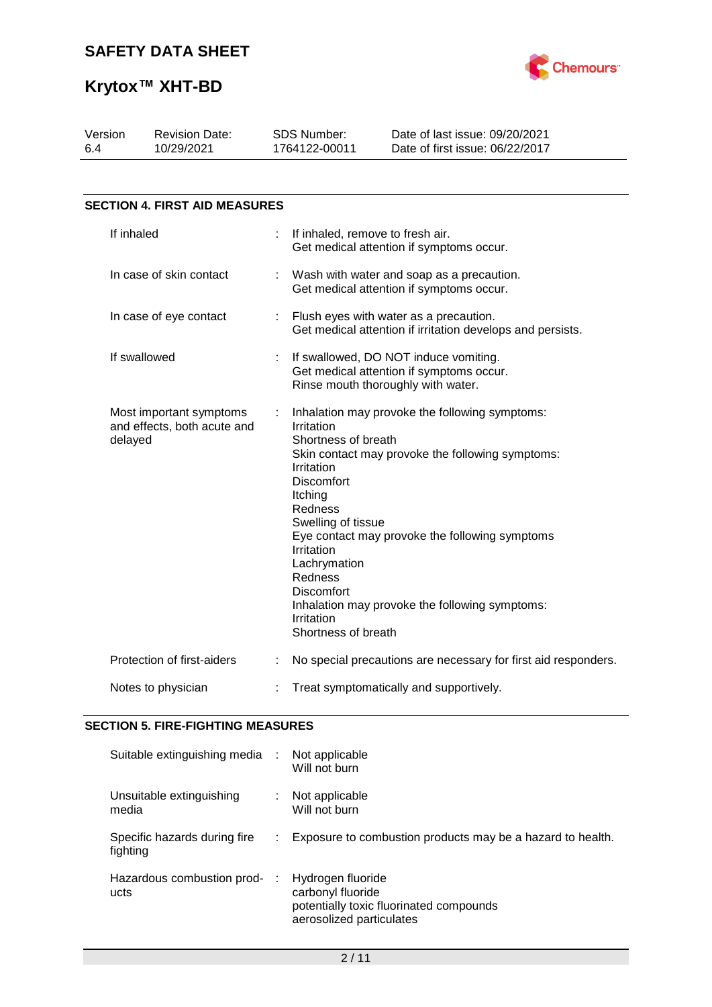

| Version<br>64                                                     | <b>Revision Date:</b><br>10/29/2021  |  | SDS Number:<br>1764122-00011                                                                                                                                                                                        | Date of last issue: 09/20/2021<br>Date of first issue: 06/22/2017                                                                                                                                      |  |  |  |
|-------------------------------------------------------------------|--------------------------------------|--|---------------------------------------------------------------------------------------------------------------------------------------------------------------------------------------------------------------------|--------------------------------------------------------------------------------------------------------------------------------------------------------------------------------------------------------|--|--|--|
|                                                                   |                                      |  |                                                                                                                                                                                                                     |                                                                                                                                                                                                        |  |  |  |
|                                                                   | <b>SECTION 4. FIRST AID MEASURES</b> |  |                                                                                                                                                                                                                     |                                                                                                                                                                                                        |  |  |  |
|                                                                   | If inhaled                           |  | If inhaled, remove to fresh air.                                                                                                                                                                                    | Get medical attention if symptoms occur.                                                                                                                                                               |  |  |  |
|                                                                   | In case of skin contact              |  |                                                                                                                                                                                                                     | Wash with water and soap as a precaution.<br>Get medical attention if symptoms occur.                                                                                                                  |  |  |  |
| In case of eye contact                                            |                                      |  | Flush eyes with water as a precaution.<br>Get medical attention if irritation develops and persists.                                                                                                                |                                                                                                                                                                                                        |  |  |  |
| If swallowed                                                      |                                      |  |                                                                                                                                                                                                                     | If swallowed, DO NOT induce vomiting.<br>Get medical attention if symptoms occur.<br>Rinse mouth thoroughly with water.                                                                                |  |  |  |
| Most important symptoms<br>and effects, both acute and<br>delayed |                                      |  | Irritation<br>Shortness of breath<br>Irritation<br><b>Discomfort</b><br>Itching<br>Redness<br>Swelling of tissue<br>Irritation<br>Lachrymation<br>Redness<br><b>Discomfort</b><br>Irritation<br>Shortness of breath | Inhalation may provoke the following symptoms:<br>Skin contact may provoke the following symptoms:<br>Eye contact may provoke the following symptoms<br>Inhalation may provoke the following symptoms: |  |  |  |
|                                                                   | Protection of first-aiders           |  |                                                                                                                                                                                                                     | No special precautions are necessary for first aid responders.                                                                                                                                         |  |  |  |
| Notes to physician                                                |                                      |  | Treat symptomatically and supportively.                                                                                                                                                                             |                                                                                                                                                                                                        |  |  |  |

#### **SECTION 5. FIRE-FIGHTING MEASURES**

| Suitable extinguishing media :           | Not applicable<br>Will not burn                                                                               |
|------------------------------------------|---------------------------------------------------------------------------------------------------------------|
| Unsuitable extinguishing<br>media        | Not applicable<br>Will not burn                                                                               |
| Specific hazards during fire<br>fighting | Exposure to combustion products may be a hazard to health.                                                    |
| Hazardous combustion prod-<br>÷<br>ucts  | Hydrogen fluoride<br>carbonyl fluoride<br>potentially toxic fluorinated compounds<br>aerosolized particulates |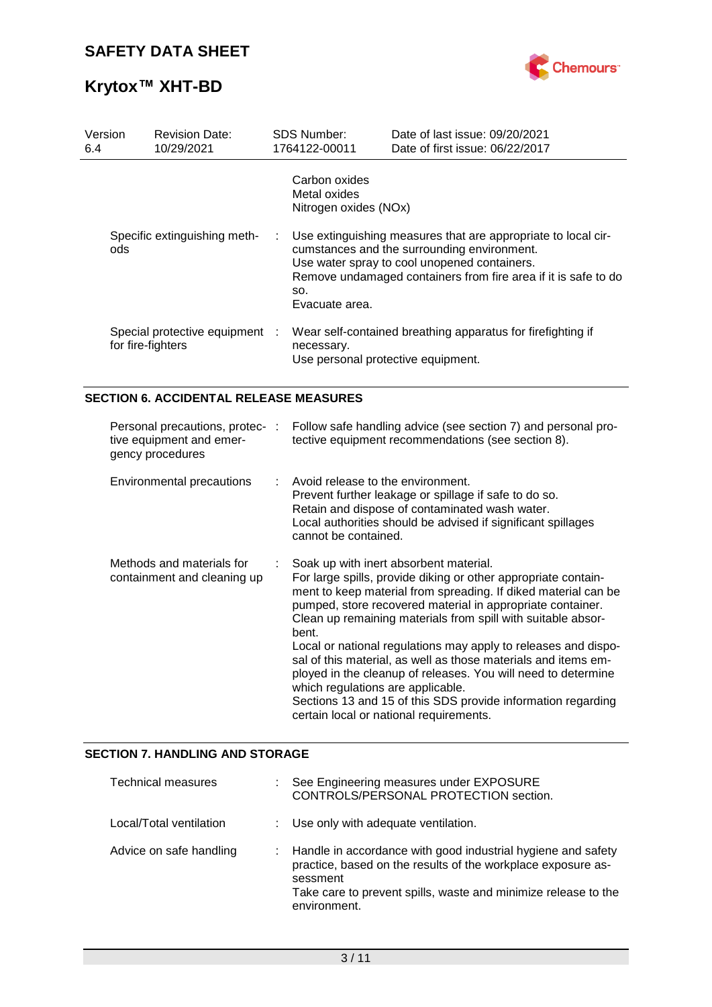

| Version<br>6.4 | <b>Revision Date:</b><br>10/29/2021                                             |   | SDS Number:<br>1764122-00011                              | Date of last issue: 09/20/2021<br>Date of first issue: 06/22/2017                                                                                                                                                                                                                                                                                                                                                                                                                                                                                                             |
|----------------|---------------------------------------------------------------------------------|---|-----------------------------------------------------------|-------------------------------------------------------------------------------------------------------------------------------------------------------------------------------------------------------------------------------------------------------------------------------------------------------------------------------------------------------------------------------------------------------------------------------------------------------------------------------------------------------------------------------------------------------------------------------|
|                |                                                                                 |   | Carbon oxides<br>Metal oxides<br>Nitrogen oxides (NOx)    |                                                                                                                                                                                                                                                                                                                                                                                                                                                                                                                                                                               |
| ods            | Specific extinguishing meth-                                                    | ÷ | SO.<br>Evacuate area.                                     | Use extinguishing measures that are appropriate to local cir-<br>cumstances and the surrounding environment.<br>Use water spray to cool unopened containers.<br>Remove undamaged containers from fire area if it is safe to do                                                                                                                                                                                                                                                                                                                                                |
|                | Special protective equipment<br>for fire-fighters                               |   | necessary.<br>Use personal protective equipment.          | Wear self-contained breathing apparatus for firefighting if                                                                                                                                                                                                                                                                                                                                                                                                                                                                                                                   |
|                | <b>SECTION 6. ACCIDENTAL RELEASE MEASURES</b>                                   |   |                                                           |                                                                                                                                                                                                                                                                                                                                                                                                                                                                                                                                                                               |
|                | Personal precautions, protec- :<br>tive equipment and emer-<br>gency procedures |   |                                                           | Follow safe handling advice (see section 7) and personal pro-<br>tective equipment recommendations (see section 8).                                                                                                                                                                                                                                                                                                                                                                                                                                                           |
|                | <b>Environmental precautions</b>                                                |   | Avoid release to the environment.<br>cannot be contained. | Prevent further leakage or spillage if safe to do so.<br>Retain and dispose of contaminated wash water.<br>Local authorities should be advised if significant spillages                                                                                                                                                                                                                                                                                                                                                                                                       |
|                | Methods and materials for<br>containment and cleaning up                        |   | bent.<br>which regulations are applicable.                | Soak up with inert absorbent material.<br>For large spills, provide diking or other appropriate contain-<br>ment to keep material from spreading. If diked material can be<br>pumped, store recovered material in appropriate container.<br>Clean up remaining materials from spill with suitable absor-<br>Local or national regulations may apply to releases and dispo-<br>sal of this material, as well as those materials and items em-<br>ployed in the cleanup of releases. You will need to determine<br>Sections 13 and 15 of this SDS provide information regarding |

#### **SECTION 7. HANDLING AND STORAGE**

| Technical measures      | : See Engineering measures under EXPOSURE<br>CONTROLS/PERSONAL PROTECTION section.                                                                                                                                           |
|-------------------------|------------------------------------------------------------------------------------------------------------------------------------------------------------------------------------------------------------------------------|
| Local/Total ventilation | : Use only with adequate ventilation.                                                                                                                                                                                        |
| Advice on safe handling | : Handle in accordance with good industrial hygiene and safety<br>practice, based on the results of the workplace exposure as-<br>sessment<br>Take care to prevent spills, waste and minimize release to the<br>environment. |

certain local or national requirements.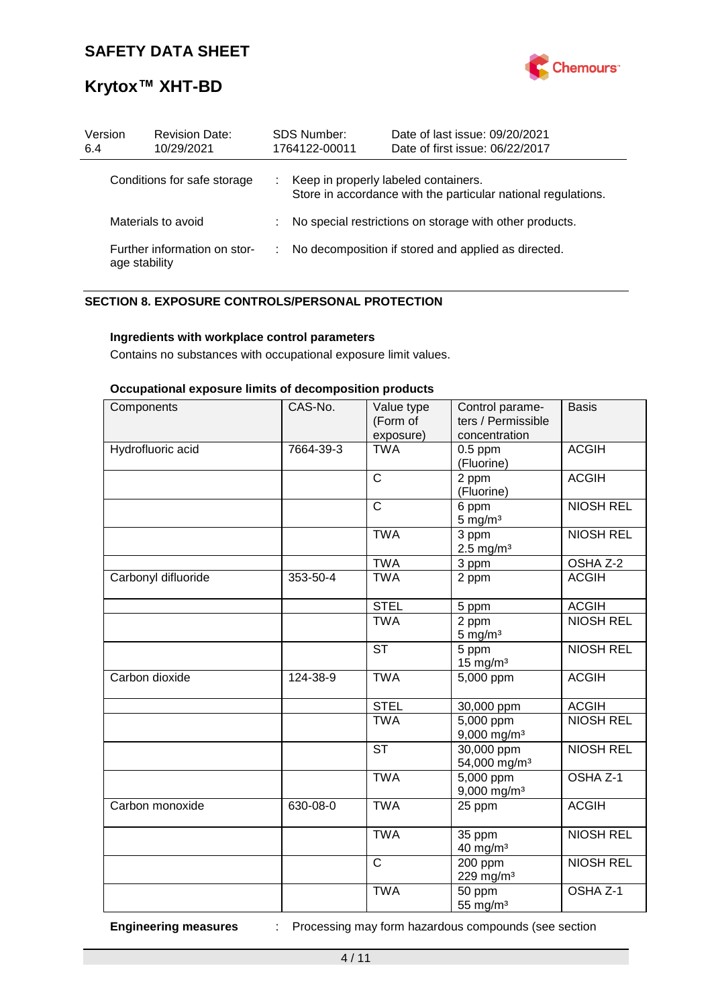

# **Krytox™ XHT-BD**

| Version<br>6.4     | <b>Revision Date:</b><br>10/29/2021           | <b>SDS Number:</b><br>1764122-00011 | Date of last issue: 09/20/2021<br>Date of first issue: 06/22/2017                                     |
|--------------------|-----------------------------------------------|-------------------------------------|-------------------------------------------------------------------------------------------------------|
|                    | Conditions for safe storage                   |                                     | Keep in properly labeled containers.<br>Store in accordance with the particular national regulations. |
| Materials to avoid |                                               |                                     | No special restrictions on storage with other products.                                               |
|                    | Further information on stor-<br>age stability |                                     | No decomposition if stored and applied as directed.                                                   |

#### **SECTION 8. EXPOSURE CONTROLS/PERSONAL PROTECTION**

#### **Ingredients with workplace control parameters**

Contains no substances with occupational exposure limit values.

#### **Occupational exposure limits of decomposition products**

| Components          | CAS-No.   | Value type<br>(Form of<br>exposure) | Control parame-<br>ters / Permissible<br>concentration | <b>Basis</b>        |
|---------------------|-----------|-------------------------------------|--------------------------------------------------------|---------------------|
| Hydrofluoric acid   | 7664-39-3 | <b>TWA</b>                          | $0.5$ ppm<br>(Fluorine)                                | <b>ACGIH</b>        |
|                     |           | C                                   | 2 ppm<br>(Fluorine)                                    | <b>ACGIH</b>        |
|                     |           | $\overline{\text{c}}$               | 6 ppm<br>$5 \text{ mg/m}^3$                            | <b>NIOSH REL</b>    |
|                     |           | <b>TWA</b>                          | 3 ppm<br>$2.5$ mg/m <sup>3</sup>                       | <b>NIOSH REL</b>    |
|                     |           | <b>TWA</b>                          | 3 ppm                                                  | OSHA Z-2            |
| Carbonyl difluoride | 353-50-4  | <b>TWA</b>                          | 2 ppm                                                  | <b>ACGIH</b>        |
|                     |           | <b>STEL</b>                         | 5 ppm                                                  | <b>ACGIH</b>        |
|                     |           | <b>TWA</b>                          | 2 ppm<br>$5 \text{ mg/m}^3$                            | <b>NIOSH REL</b>    |
|                     |           | <b>ST</b>                           | 5 ppm<br>$15$ mg/m <sup>3</sup>                        | <b>NIOSH REL</b>    |
| Carbon dioxide      | 124-38-9  | <b>TWA</b>                          | 5,000 ppm                                              | <b>ACGIH</b>        |
|                     |           | <b>STEL</b>                         | 30,000 ppm                                             | <b>ACGIH</b>        |
|                     |           | <b>TWA</b>                          | $5,000$ ppm<br>$9,000$ mg/m <sup>3</sup>               | <b>NIOSH REL</b>    |
|                     |           | <b>ST</b>                           | 30,000 ppm<br>54,000 mg/m <sup>3</sup>                 | <b>NIOSH REL</b>    |
|                     |           | <b>TWA</b>                          | 5,000 ppm<br>$9,000$ mg/m <sup>3</sup>                 | OSHA <sub>Z-1</sub> |
| Carbon monoxide     | 630-08-0  | <b>TWA</b>                          | 25 ppm                                                 | <b>ACGIH</b>        |
|                     |           | <b>TWA</b>                          | 35 ppm<br>40 mg/m <sup>3</sup>                         | <b>NIOSH REL</b>    |
|                     |           | $\mathsf{C}$                        | 200 ppm<br>229 mg/m <sup>3</sup>                       | <b>NIOSH REL</b>    |
|                     |           | <b>TWA</b>                          | 50 ppm<br>55 mg/ $m3$                                  | OSHA Z-1            |

**Engineering measures** : Processing may form hazardous compounds (see section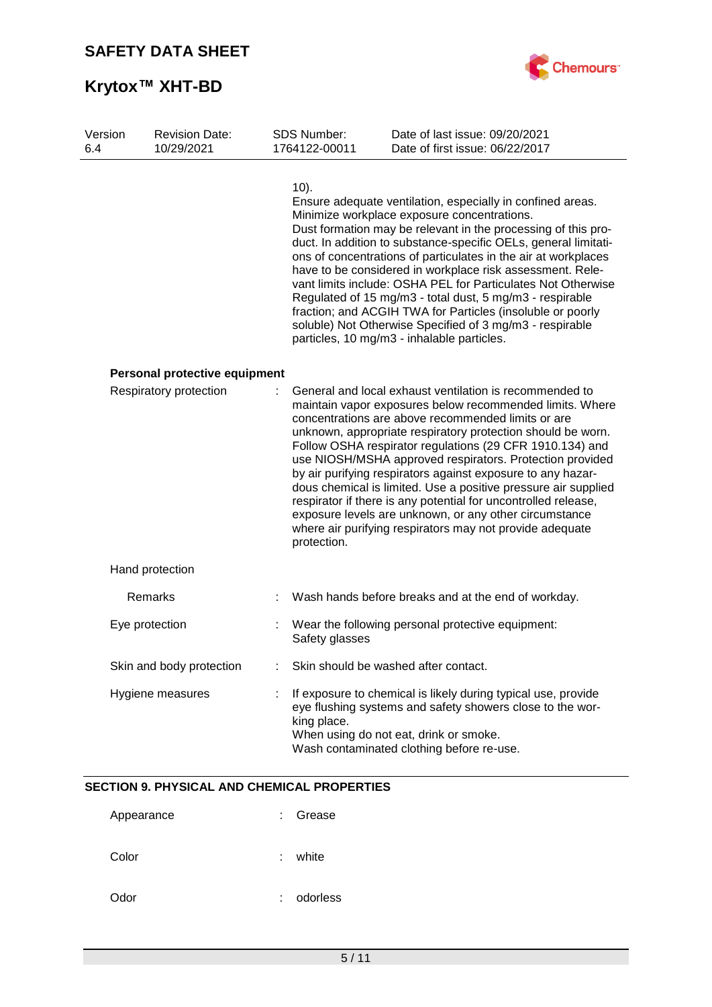

| Version<br>6.4 | <b>Revision Date:</b><br>10/29/2021 |   | <b>SDS Number:</b><br>1764122-00011 | Date of last issue: 09/20/2021<br>Date of first issue: 06/22/2017                                                                                                                                                                                                                                                                                                                                                                                                                                                                                                                                                                                                                         |
|----------------|-------------------------------------|---|-------------------------------------|-------------------------------------------------------------------------------------------------------------------------------------------------------------------------------------------------------------------------------------------------------------------------------------------------------------------------------------------------------------------------------------------------------------------------------------------------------------------------------------------------------------------------------------------------------------------------------------------------------------------------------------------------------------------------------------------|
|                |                                     |   | $10$ ).                             | Ensure adequate ventilation, especially in confined areas.<br>Minimize workplace exposure concentrations.<br>Dust formation may be relevant in the processing of this pro-<br>duct. In addition to substance-specific OELs, general limitati-<br>ons of concentrations of particulates in the air at workplaces<br>have to be considered in workplace risk assessment. Rele-<br>vant limits include: OSHA PEL for Particulates Not Otherwise<br>Regulated of 15 mg/m3 - total dust, 5 mg/m3 - respirable<br>fraction; and ACGIH TWA for Particles (insoluble or poorly<br>soluble) Not Otherwise Specified of 3 mg/m3 - respirable<br>particles, 10 mg/m3 - inhalable particles.          |
|                | Personal protective equipment       |   |                                     |                                                                                                                                                                                                                                                                                                                                                                                                                                                                                                                                                                                                                                                                                           |
|                | Respiratory protection              |   | protection.                         | General and local exhaust ventilation is recommended to<br>maintain vapor exposures below recommended limits. Where<br>concentrations are above recommended limits or are<br>unknown, appropriate respiratory protection should be worn.<br>Follow OSHA respirator regulations (29 CFR 1910.134) and<br>use NIOSH/MSHA approved respirators. Protection provided<br>by air purifying respirators against exposure to any hazar-<br>dous chemical is limited. Use a positive pressure air supplied<br>respirator if there is any potential for uncontrolled release,<br>exposure levels are unknown, or any other circumstance<br>where air purifying respirators may not provide adequate |
|                | Hand protection                     |   |                                     |                                                                                                                                                                                                                                                                                                                                                                                                                                                                                                                                                                                                                                                                                           |
|                | Remarks                             |   |                                     | Wash hands before breaks and at the end of workday.                                                                                                                                                                                                                                                                                                                                                                                                                                                                                                                                                                                                                                       |
|                | Eye protection                      | t | Safety glasses                      | Wear the following personal protective equipment:                                                                                                                                                                                                                                                                                                                                                                                                                                                                                                                                                                                                                                         |
|                | Skin and body protection            |   |                                     | Skin should be washed after contact.                                                                                                                                                                                                                                                                                                                                                                                                                                                                                                                                                                                                                                                      |
|                | Hygiene measures                    |   | king place.                         | If exposure to chemical is likely during typical use, provide<br>eye flushing systems and safety showers close to the wor-<br>When using do not eat, drink or smoke.<br>Wash contaminated clothing before re-use.                                                                                                                                                                                                                                                                                                                                                                                                                                                                         |

### **SECTION 9. PHYSICAL AND CHEMICAL PROPERTIES**

| Appearance | ٠ | Grease   |
|------------|---|----------|
| Color      | ٠ | white    |
| Odor       | ٠ | odorless |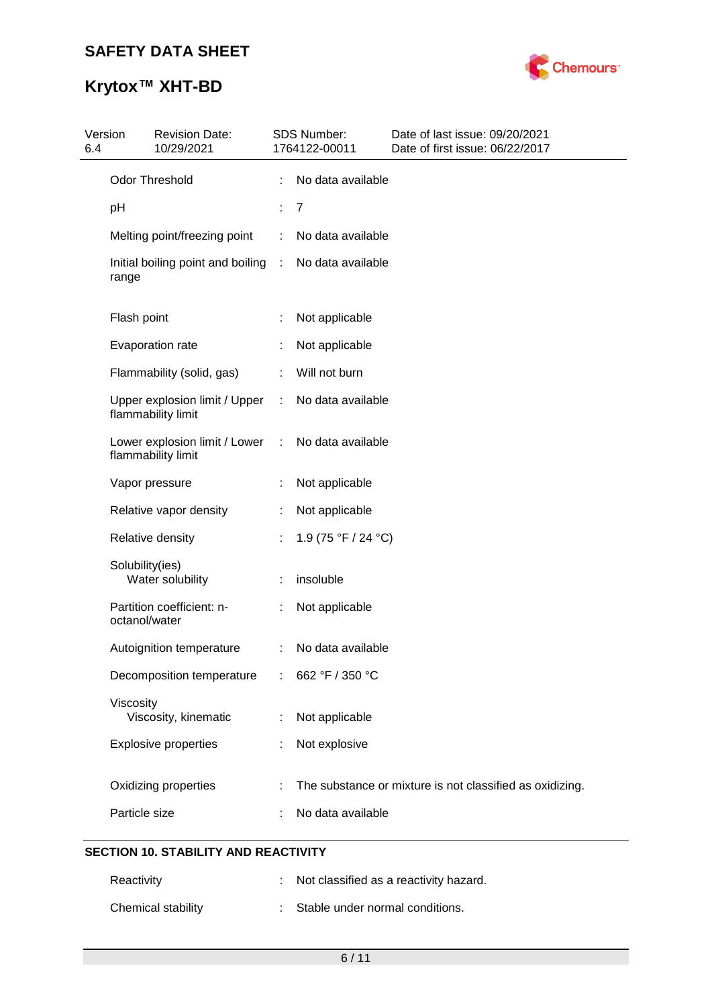

| 6.4 | Version         | <b>Revision Date:</b><br>10/29/2021                 |    | SDS Number:<br>1764122-00011 | Date of last issue: 09/20/2021<br>Date of first issue: 06/22/2017 |
|-----|-----------------|-----------------------------------------------------|----|------------------------------|-------------------------------------------------------------------|
|     |                 | <b>Odor Threshold</b>                               |    | No data available            |                                                                   |
|     | pH              |                                                     | t, | $\overline{7}$               |                                                                   |
|     |                 | Melting point/freezing point                        |    | No data available            |                                                                   |
|     | range           | Initial boiling point and boiling                   | ÷  | No data available            |                                                                   |
|     | Flash point     |                                                     |    | Not applicable               |                                                                   |
|     |                 | Evaporation rate                                    |    | Not applicable               |                                                                   |
|     |                 | Flammability (solid, gas)                           |    | Will not burn                |                                                                   |
|     |                 | Upper explosion limit / Upper<br>flammability limit | ÷  | No data available            |                                                                   |
|     |                 | Lower explosion limit / Lower<br>flammability limit | ÷  | No data available            |                                                                   |
|     |                 | Vapor pressure                                      |    | Not applicable               |                                                                   |
|     |                 | Relative vapor density                              |    | Not applicable               |                                                                   |
|     |                 | Relative density                                    | ÷  | 1.9 (75 °F / 24 °C)          |                                                                   |
|     | Solubility(ies) | Water solubility                                    |    | insoluble                    |                                                                   |
|     | octanol/water   | Partition coefficient: n-                           |    | Not applicable               |                                                                   |
|     |                 | Autoignition temperature                            | ÷  | No data available            |                                                                   |
|     |                 | Decomposition temperature                           |    | 662 °F / 350 °C              |                                                                   |
|     | Viscosity       | Viscosity, kinematic                                |    | Not applicable               |                                                                   |
|     |                 | <b>Explosive properties</b>                         |    | Not explosive                |                                                                   |
|     |                 | Oxidizing properties                                |    |                              | The substance or mixture is not classified as oxidizing.          |
|     | Particle size   |                                                     |    | No data available            |                                                                   |
|     |                 |                                                     |    |                              |                                                                   |

### **SECTION 10. STABILITY AND REACTIVITY**

| Reactivity         | : Not classified as a reactivity hazard. |
|--------------------|------------------------------------------|
| Chemical stability | : Stable under normal conditions.        |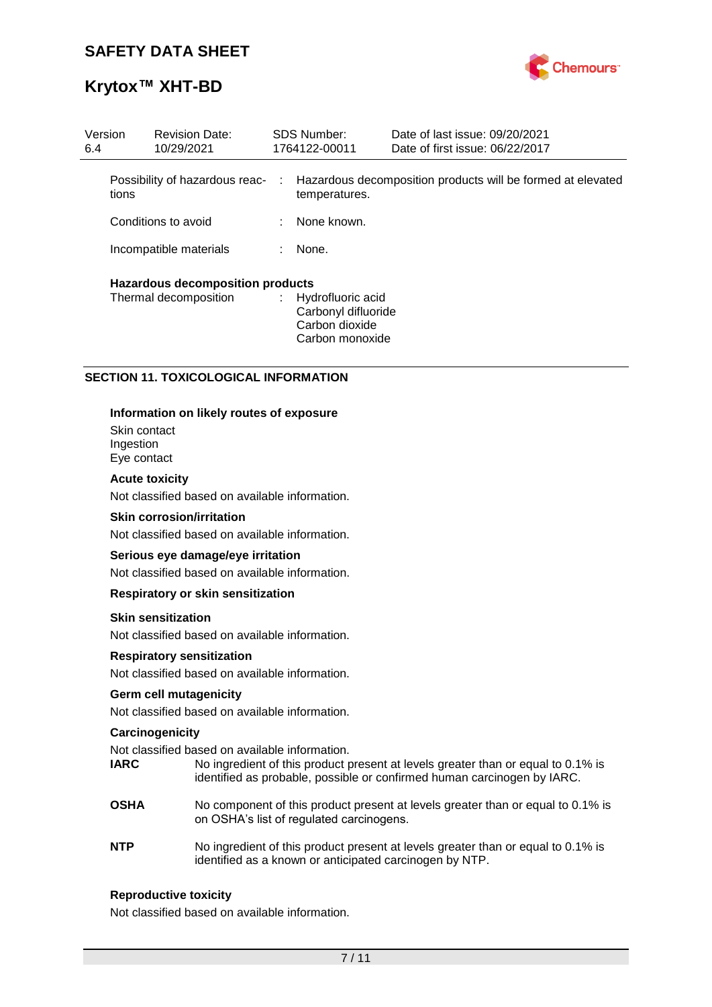

| Version<br>6.4 |                                         | <b>Revision Date:</b><br>10/29/2021 | <b>SDS Number:</b><br>1764122-00011                                             | Date of last issue: 09/20/2021<br>Date of first issue: 06/22/2017 |
|----------------|-----------------------------------------|-------------------------------------|---------------------------------------------------------------------------------|-------------------------------------------------------------------|
|                | tions                                   | Possibility of hazardous reac-      | temperatures.                                                                   | : Hazardous decomposition products will be formed at elevated     |
|                |                                         | Conditions to avoid                 | : None known.                                                                   |                                                                   |
|                |                                         | Incompatible materials              | None.                                                                           |                                                                   |
|                | <b>Hazardous decomposition products</b> |                                     |                                                                                 |                                                                   |
|                |                                         | Thermal decomposition               | : Hydrofluoric acid<br>Carbonyl difluoride<br>Carbon dioxide<br>Carbon monoxide |                                                                   |

#### **SECTION 11. TOXICOLOGICAL INFORMATION**

#### **Information on likely routes of exposure**

Skin contact Ingestion Eye contact

#### **Acute toxicity**

Not classified based on available information.

#### **Skin corrosion/irritation**

Not classified based on available information.

#### **Serious eye damage/eye irritation**

Not classified based on available information.

#### **Respiratory or skin sensitization**

#### **Skin sensitization**

Not classified based on available information.

#### **Respiratory sensitization**

Not classified based on available information.

#### **Germ cell mutagenicity**

Not classified based on available information.

#### **Carcinogenicity**

Not classified based on available information.

- **IARC** No ingredient of this product present at levels greater than or equal to 0.1% is identified as probable, possible or confirmed human carcinogen by IARC.
- **OSHA** No component of this product present at levels greater than or equal to 0.1% is on OSHA's list of regulated carcinogens.
- **NTP** No ingredient of this product present at levels greater than or equal to 0.1% is identified as a known or anticipated carcinogen by NTP.

#### **Reproductive toxicity**

Not classified based on available information.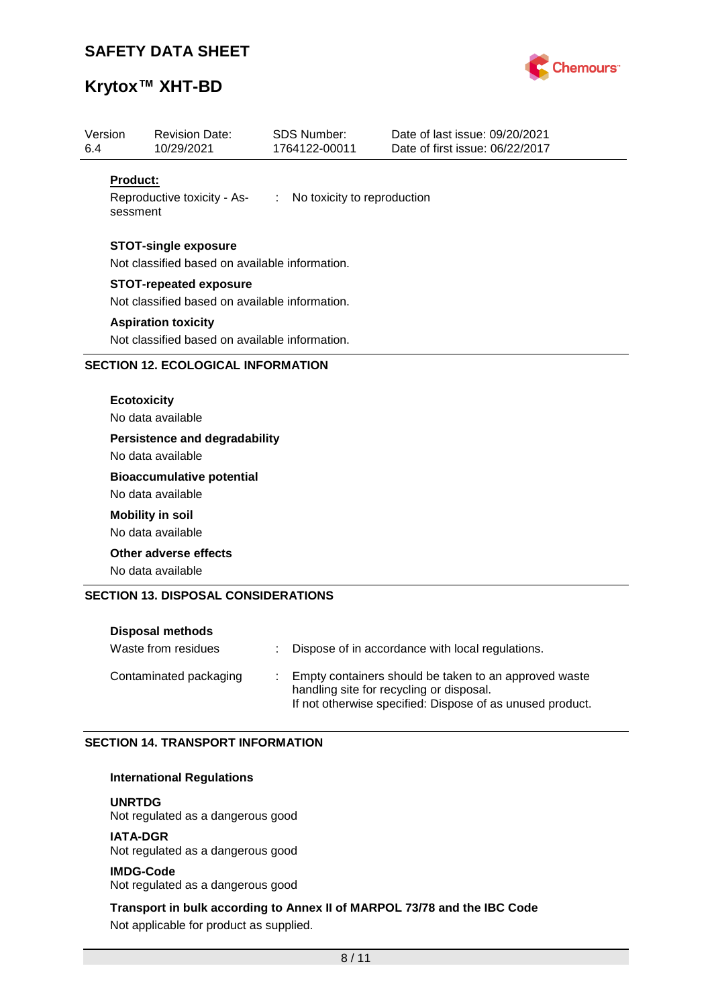

# **Krytox™ XHT-BD**

| 6.4                         | <b>Revision Date:</b><br>10/29/2021                       | <b>SDS Number:</b><br>1764122-00011 | Date of last issue: 09/20/2021<br>Date of first issue: 06/22/2017 |
|-----------------------------|-----------------------------------------------------------|-------------------------------------|-------------------------------------------------------------------|
| <b>Product:</b><br>sessment | Reproductive toxicity - As- : No toxicity to reproduction |                                     |                                                                   |
|                             | <b>STOT-single exposure</b>                               |                                     |                                                                   |
|                             | Not classified based on available information.            |                                     |                                                                   |
|                             | <b>STOT-repeated exposure</b>                             |                                     |                                                                   |
|                             | Not classified based on available information.            |                                     |                                                                   |
|                             |                                                           |                                     |                                                                   |
|                             | <b>Aspiration toxicity</b>                                |                                     |                                                                   |
|                             | Not classified based on available information.            |                                     |                                                                   |
|                             | <b>SECTION 12. ECOLOGICAL INFORMATION</b>                 |                                     |                                                                   |
|                             | <b>Ecotoxicity</b><br>No data available                   |                                     |                                                                   |
|                             | <b>Persistence and degradability</b>                      |                                     |                                                                   |
|                             | No data available                                         |                                     |                                                                   |
|                             | <b>Bioaccumulative potential</b>                          |                                     |                                                                   |
|                             | No data available                                         |                                     |                                                                   |
|                             | <b>Mobility in soil</b>                                   |                                     |                                                                   |
|                             | No data available                                         |                                     |                                                                   |
|                             | Other adverse effects                                     |                                     |                                                                   |

| <b>Disposal methods</b> |                                                                                                                                                                |
|-------------------------|----------------------------------------------------------------------------------------------------------------------------------------------------------------|
| Waste from residues     | Dispose of in accordance with local regulations.                                                                                                               |
| Contaminated packaging  | Empty containers should be taken to an approved waste<br>handling site for recycling or disposal.<br>If not otherwise specified: Dispose of as unused product. |

### **SECTION 14. TRANSPORT INFORMATION**

#### **International Regulations**

**UNRTDG**

Not regulated as a dangerous good

**IATA-DGR** Not regulated as a dangerous good

**IMDG-Code** Not regulated as a dangerous good

**Transport in bulk according to Annex II of MARPOL 73/78 and the IBC Code** Not applicable for product as supplied.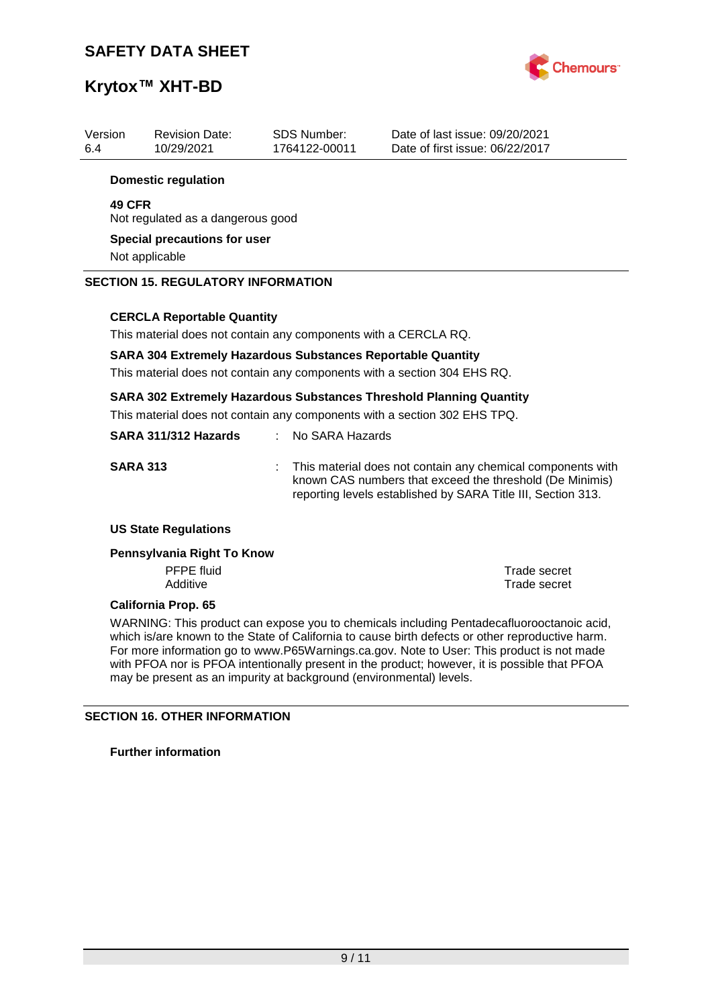

| Version<br>6.4 | <b>Revision Date:</b><br>10/29/2021       | <b>SDS Number:</b><br>1764122-00011                                | Date of last issue: 09/20/2021<br>Date of first issue: 06/22/2017                                                                                       |
|----------------|-------------------------------------------|--------------------------------------------------------------------|---------------------------------------------------------------------------------------------------------------------------------------------------------|
|                | <b>Domestic regulation</b>                |                                                                    |                                                                                                                                                         |
| <b>49 CFR</b>  | Not regulated as a dangerous good         |                                                                    |                                                                                                                                                         |
|                | Special precautions for user              |                                                                    |                                                                                                                                                         |
|                | Not applicable                            |                                                                    |                                                                                                                                                         |
|                | <b>SECTION 15. REGULATORY INFORMATION</b> |                                                                    |                                                                                                                                                         |
|                | <b>CERCLA Reportable Quantity</b>         |                                                                    |                                                                                                                                                         |
|                |                                           | This material does not contain any components with a CERCLA RQ.    |                                                                                                                                                         |
|                |                                           | <b>SARA 304 Extremely Hazardous Substances Reportable Quantity</b> | This material does not contain any components with a section 304 EHS RQ.                                                                                |
|                |                                           |                                                                    | <b>SARA 302 Extremely Hazardous Substances Threshold Planning Quantity</b><br>This material does not contain any components with a section 302 EHS TPQ. |

| SARA 311/312 Hazards |       | : No SARA Hazards                                                                                                                                                                       |
|----------------------|-------|-----------------------------------------------------------------------------------------------------------------------------------------------------------------------------------------|
| <b>SARA 313</b>      | diam. | This material does not contain any chemical components with<br>known CAS numbers that exceed the threshold (De Minimis)<br>reporting levels established by SARA Title III, Section 313. |

#### **US State Regulations**

#### **Pennsylvania Right To Know**

PFPE fluid<br>
Additive<br>
Additive<br>
Trade secret

**Trade secret** 

#### **California Prop. 65**

WARNING: This product can expose you to chemicals including Pentadecafluorooctanoic acid, which is/are known to the State of California to cause birth defects or other reproductive harm. For more information go to www.P65Warnings.ca.gov. Note to User: This product is not made with PFOA nor is PFOA intentionally present in the product; however, it is possible that PFOA may be present as an impurity at background (environmental) levels.

### **SECTION 16. OTHER INFORMATION**

**Further information**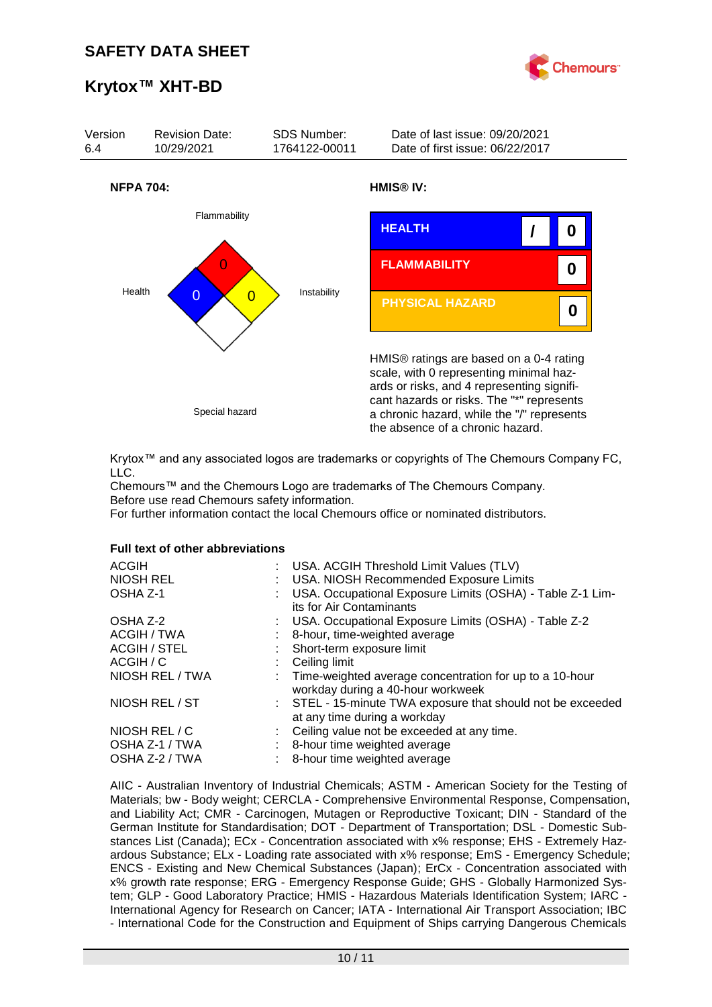



Krytox™ and any associated logos are trademarks or copyrights of The Chemours Company FC, LLC.

Chemours™ and the Chemours Logo are trademarks of The Chemours Company. Before use read Chemours safety information.

For further information contact the local Chemours office or nominated distributors.

#### **Full text of other abbreviations**

| : USA. ACGIH Threshold Limit Values (TLV)<br>: USA. NIOSH Recommended Exposure Limits<br>USA. Occupational Exposure Limits (OSHA) - Table Z-1 Lim-<br>its for Air Contaminants |
|--------------------------------------------------------------------------------------------------------------------------------------------------------------------------------|
| : USA. Occupational Exposure Limits (OSHA) - Table Z-2                                                                                                                         |
| 8-hour, time-weighted average                                                                                                                                                  |
| : Short-term exposure limit                                                                                                                                                    |
| Ceiling limit                                                                                                                                                                  |
| : Time-weighted average concentration for up to a 10-hour<br>workday during a 40-hour workweek                                                                                 |
| : STEL - 15-minute TWA exposure that should not be exceeded<br>at any time during a workday                                                                                    |
| : Ceiling value not be exceeded at any time.                                                                                                                                   |
| 8-hour time weighted average                                                                                                                                                   |
| 8-hour time weighted average                                                                                                                                                   |
|                                                                                                                                                                                |

AIIC - Australian Inventory of Industrial Chemicals; ASTM - American Society for the Testing of Materials; bw - Body weight; CERCLA - Comprehensive Environmental Response, Compensation, and Liability Act; CMR - Carcinogen, Mutagen or Reproductive Toxicant; DIN - Standard of the German Institute for Standardisation; DOT - Department of Transportation; DSL - Domestic Substances List (Canada); ECx - Concentration associated with x% response; EHS - Extremely Hazardous Substance; ELx - Loading rate associated with x% response; EmS - Emergency Schedule; ENCS - Existing and New Chemical Substances (Japan); ErCx - Concentration associated with x% growth rate response; ERG - Emergency Response Guide; GHS - Globally Harmonized System; GLP - Good Laboratory Practice; HMIS - Hazardous Materials Identification System; IARC - International Agency for Research on Cancer; IATA - International Air Transport Association; IBC - International Code for the Construction and Equipment of Ships carrying Dangerous Chemicals